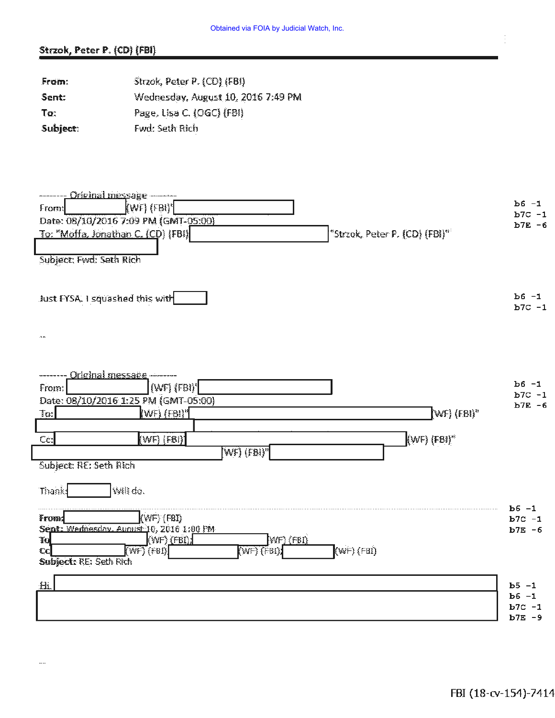## Strzok, Peter P. (CD) (FBI)

 $\cdots$ 

| From:    | Strzok, Peter P. (CD) (FBI)        |
|----------|------------------------------------|
| Sent:    | Wednesday, August 10, 2016 7:49 PM |
| To:      | Page, Lisa C. (OGC) (FBI)          |
| Subject: | Fwd: Seth Rich                     |

| -------- Original message --------                                                                                                             | $b6 - 1$               |
|------------------------------------------------------------------------------------------------------------------------------------------------|------------------------|
| (WF) (FBI)'<br>From:                                                                                                                           | $b7C - 1$              |
| Date: 08/10/2016 7:09 PM (GMT-05:00)<br>"Strzok, Peter P. (CD) (FBI)"                                                                          | $b7E - 6$              |
| To: "Moffa, Jonathan C. (CD) (FBI)                                                                                                             |                        |
| Subject: Fwd: Seth Rich                                                                                                                        |                        |
| Just FYSA. I squashed this with                                                                                                                | $b6 - 1$<br>$b7C - 1$  |
| $\Delta$                                                                                                                                       |                        |
|                                                                                                                                                |                        |
| <u>- Original message -</u><br>$(WF)$ $(FB)$ <sup>*</sup><br>From:                                                                             | $b6 - 1$<br>$b7C -1$   |
| Date: 08/10/2016 1:25 PM (GMT-05:00)<br>WF) (FBI)"<br>Ta:<br>$\{Wf\}$ $\{FBI\}^n$                                                              | $b7E - 6$              |
|                                                                                                                                                |                        |
| (WF) (FBI)"<br>Cc.<br>$\{WF\}$ $(FB)$                                                                                                          |                        |
| $[{\rm WF}]$ $({\rm FBI})$ "                                                                                                                   |                        |
| Subject: RE: Seth Rich                                                                                                                         |                        |
| WII do.<br>Thanks                                                                                                                              |                        |
| $(WF)$ (FBI)<br>From:                                                                                                                          | $b6 - 1$<br>$b7C - 1$  |
| Sent: Wednesday, August 10, 2016 1:00 PM                                                                                                       | $b7E - 6$              |
| (WF) (FBI)<br>WF) (FBI)<br>To <sub>1</sub><br>$(\text{WF})$ (FBI)<br>$\overline{\text{WFS}}$ (FBI)<br>$\overline{\text{N}}$ (FBI);<br>$\infty$ |                        |
| Subject: RE: Seth Rich                                                                                                                         |                        |
| 扭                                                                                                                                              | $b5 - 1$               |
|                                                                                                                                                | $b6 - 1$               |
|                                                                                                                                                | $b7C - 1$<br>$b7E - 9$ |
|                                                                                                                                                |                        |